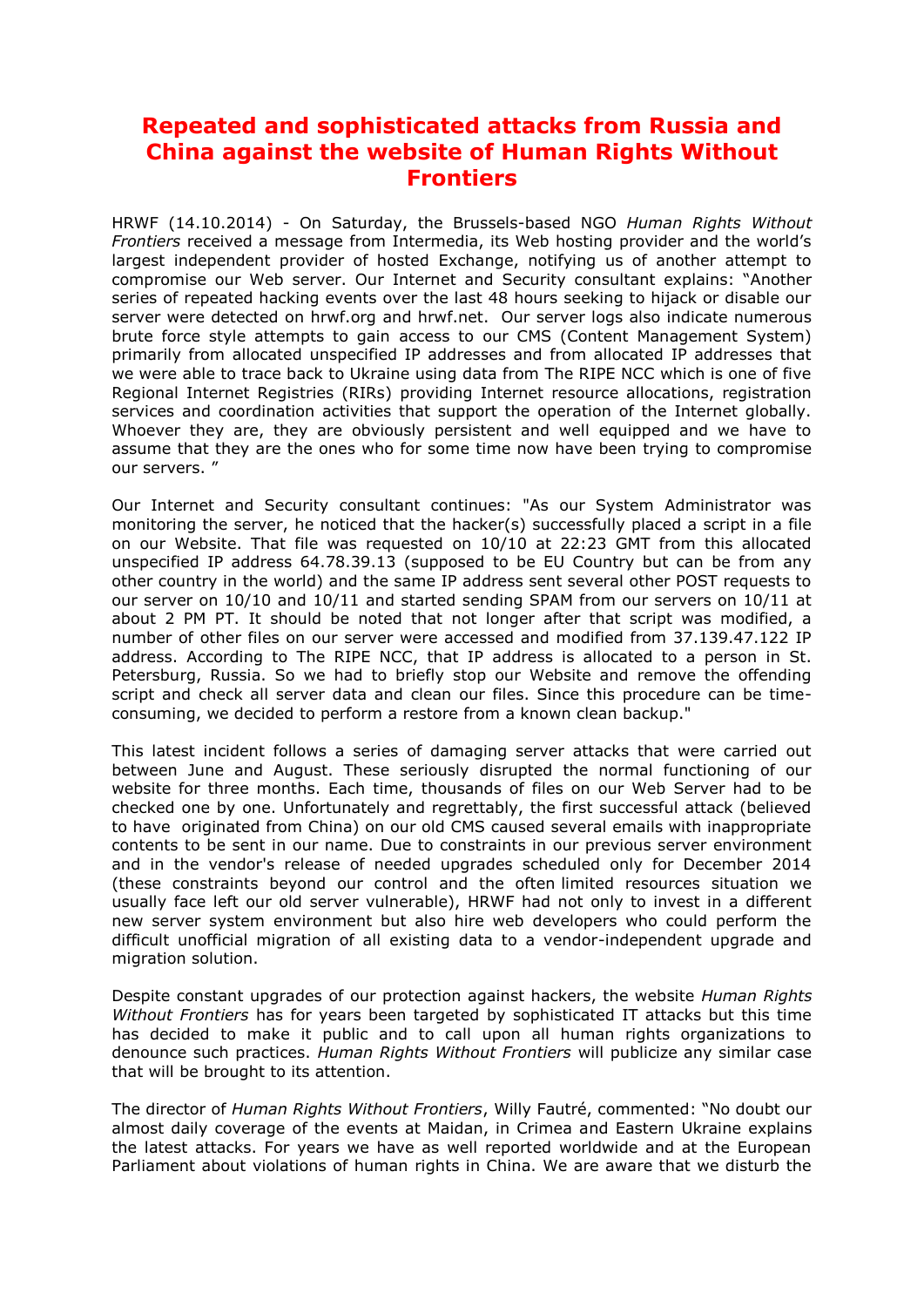## **Repeated and sophisticated attacks from Russia and China against the website of Human Rights Without Frontiers**

HRWF (14.10.2014) - On Saturday, the Brussels-based NGO *Human Rights Without Frontiers* received a message from Intermedia, its Web hosting provider and the world's largest independent provider of hosted Exchange, notifying us of another attempt to compromise our Web server. Our Internet and Security consultant explains: "Another series of repeated hacking events over the last 48 hours seeking to hijack or disable our server were detected on hrwf.org and hrwf.net. Our server logs also indicate numerous brute force style attempts to gain access to our CMS (Content Management System) primarily from allocated unspecified IP addresses and from allocated IP addresses that we were able to trace back to Ukraine using data from The RIPE NCC which is one of five Regional Internet Registries (RIRs) providing Internet resource allocations, registration services and coordination activities that support the operation of the Internet globally. Whoever they are, they are obviously persistent and well equipped and we have to assume that they are the ones who for some time now have been trying to compromise our servers. "

Our Internet and Security consultant continues: "As our System Administrator was monitoring the server, he noticed that the hacker(s) successfully placed a script in a file on our Website. That file was requested on 10/10 at 22:23 GMT from this allocated unspecified IP address 64.78.39.13 (supposed to be EU Country but can be from any other country in the world) and the same IP address sent several other POST requests to our server on 10/10 and 10/11 and started sending SPAM from our servers on 10/11 at about 2 PM PT. It should be noted that not longer after that script was modified, a number of other files on our server were accessed and modified from 37.139.47.122 IP address. According to The RIPE NCC, that IP address is allocated to a person in St. Petersburg, Russia. So we had to briefly stop our Website and remove the offending script and check all server data and clean our files. Since this procedure can be timeconsuming, we decided to perform a restore from a known clean backup."

This latest incident follows a series of damaging server attacks that were carried out between June and August. These seriously disrupted the normal functioning of our website for three months. Each time, thousands of files on our Web Server had to be checked one by one. Unfortunately and regrettably, the first successful attack (believed to have originated from China) on our old CMS caused several emails with inappropriate contents to be sent in our name. Due to constraints in our previous server environment and in the vendor's release of needed upgrades scheduled only for December 2014 (these constraints beyond our control and the often limited resources situation we usually face left our old server vulnerable), HRWF had not only to invest in a different new server system environment but also hire web developers who could perform the difficult unofficial migration of all existing data to a vendor-independent upgrade and migration solution.

Despite constant upgrades of our protection against hackers, the website *Human Rights Without Frontiers* has for years been targeted by sophisticated IT attacks but this time has decided to make it public and to call upon all human rights organizations to denounce such practices. *Human Rights Without Frontiers* will publicize any similar case that will be brought to its attention.

The director of *Human Rights Without Frontiers*, Willy Fautré, commented: "No doubt our almost daily coverage of the events at Maidan, in Crimea and Eastern Ukraine explains the latest attacks. For years we have as well reported worldwide and at the European Parliament about violations of human rights in China. We are aware that we disturb the